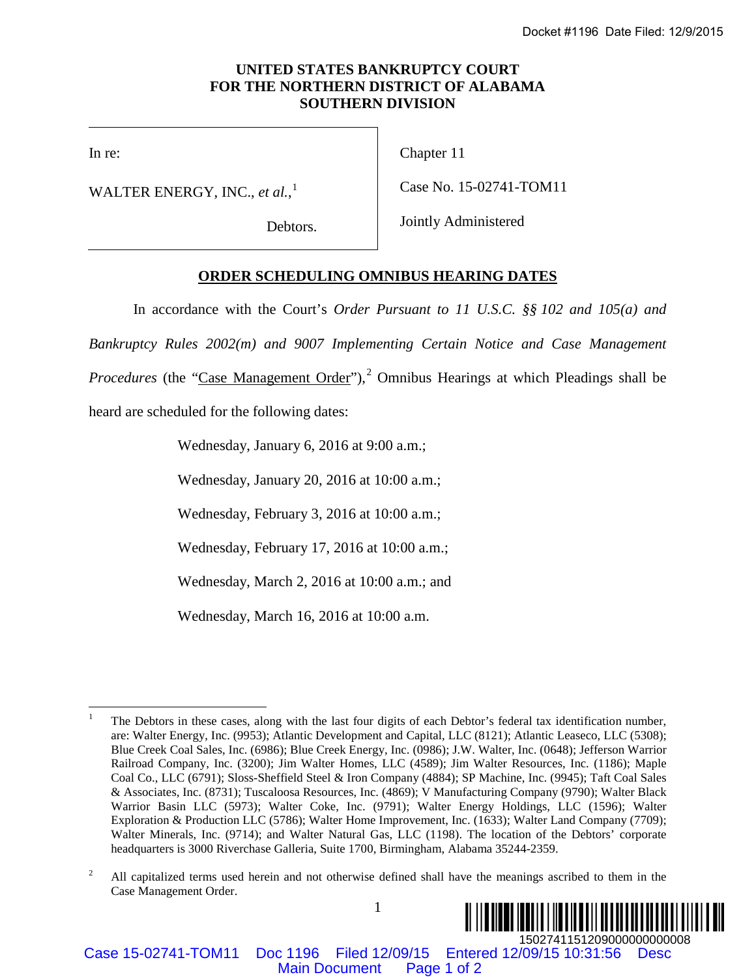## **UNITED STATES BANKRUPTCY COURT FOR THE NORTHERN DISTRICT OF ALABAMA SOUTHERN DIVISION**

In re:

WALTER ENERGY, INC., *et al.*, [1](#page-0-0)

Debtors.

Chapter 11

Case No. 15-02741-TOM11

Jointly Administered

## **ORDER SCHEDULING OMNIBUS HEARING DATES**

In accordance with the Court's *Order Pursuant to 11 U.S.C. §§ 102 and 105(a) and* 

*Bankruptcy Rules 2002(m) and 9007 Implementing Certain Notice and Case Management* 

Procedures (the "Case Management Order"),<sup>[2](#page-0-1)</sup> Omnibus Hearings at which Pleadings shall be

heard are scheduled for the following dates:

Wednesday, January 6, 2016 at 9:00 a.m.;

Wednesday, January 20, 2016 at 10:00 a.m.;

Wednesday, February 3, 2016 at 10:00 a.m.;

Wednesday, February 17, 2016 at 10:00 a.m.;

Wednesday, March 2, 2016 at 10:00 a.m.; and

Wednesday, March 16, 2016 at 10:00 a.m.

<span id="page-0-1"></span><span id="page-0-0"></span><sup>1</sup> <sup>2</sup> All capitalized terms used herein and not otherwise defined shall have the meanings ascribed to them in the Case Management Order.



Case 15-02741-TOM11 Doc 1196 Filed 12/09/15 Entered 12/09/15 10:31:56 Desc

 <sup>1</sup> The Debtors in these cases, along with the last four digits of each Debtor's federal tax identification number, are: Walter Energy, Inc. (9953); Atlantic Development and Capital, LLC (8121); Atlantic Leaseco, LLC (5308); Blue Creek Coal Sales, Inc. (6986); Blue Creek Energy, Inc. (0986); J.W. Walter, Inc. (0648); Jefferson Warrior Railroad Company, Inc. (3200); Jim Walter Homes, LLC (4589); Jim Walter Resources, Inc. (1186); Maple Coal Co., LLC (6791); Sloss-Sheffield Steel & Iron Company (4884); SP Machine, Inc. (9945); Taft Coal Sales & Associates, Inc. (8731); Tuscaloosa Resources, Inc. (4869); V Manufacturing Company (9790); Walter Black Warrior Basin LLC (5973); Walter Coke, Inc. (9791); Walter Energy Holdings, LLC (1596); Walter Exploration & Production LLC (5786); Walter Home Improvement, Inc. (1633); Walter Land Company (7709); Walter Minerals, Inc. (9714); and Walter Natural Gas, LLC (1198). The location of the Debtors' corporate headquarters is 3000 Riverchase Galleria, Suite 1700, Birmingham, Alabama 35244-2359. **ED STATES BANKRUPTCY COUNT<br>
ED STATES BANKRUPTCY COUNT<br>
NORTHERN DISTRICT OF ALBAMA<br>
SOUTHERN DISTRICT OF ALBAMA<br>
SOUTHERN DISTRICT OF ALBAMA<br>
Counts (Date No. 15 02741-TOM11<br>
Jointly Administered<br>
TEDIULING OMNIBUS HEAR**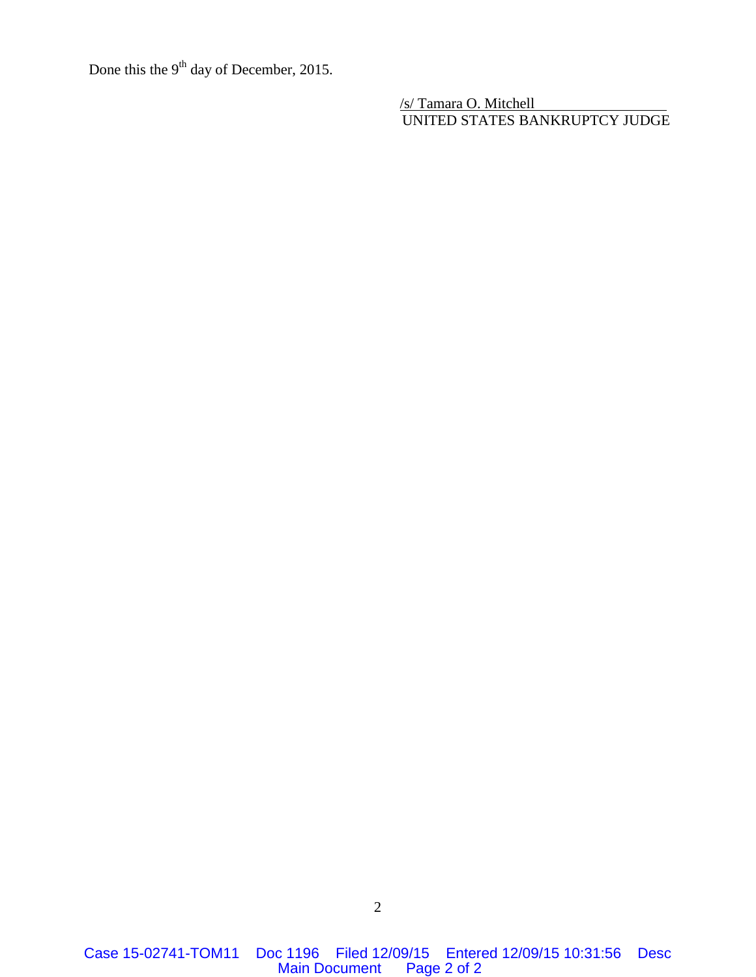Done this the 9<sup>th</sup> day of December, 2015.

/s/ Tamara O. Mitchell UNITED STATES BANKRUPTCY JUDGE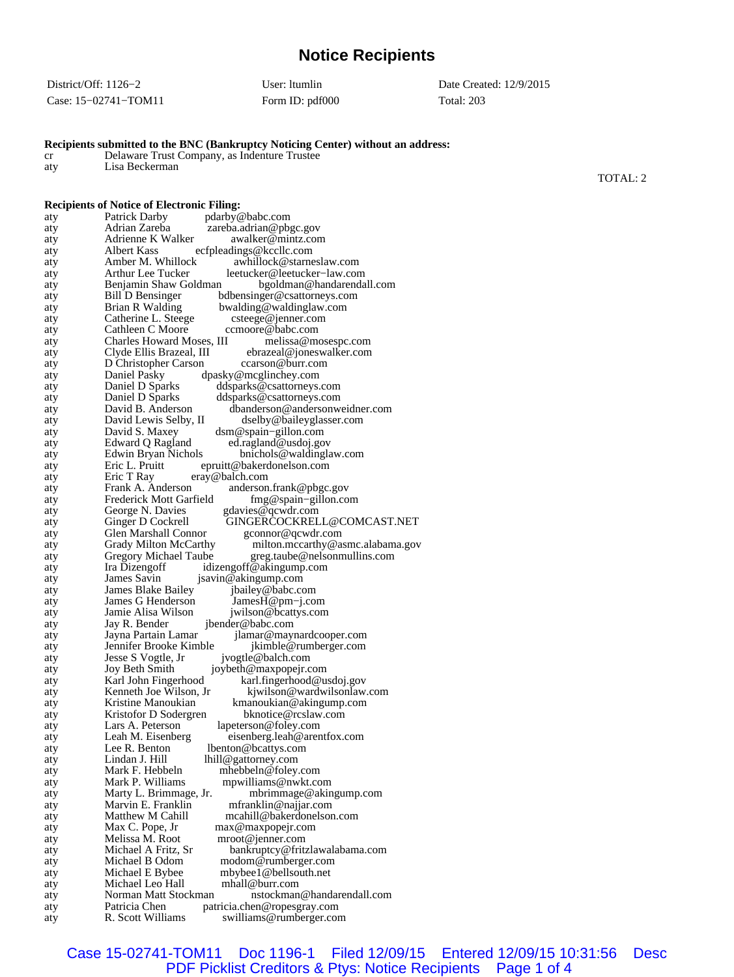## **Notice Recipients**

| District/Off: $1126-2$ | User: Itumlin   | Date Created: 12/9/2015 |
|------------------------|-----------------|-------------------------|
| Case: $15-02741-TOM11$ | Form ID: pdf000 | Total: 203              |

| aty            | Lisa Beckerman                                                                                                                            |          |
|----------------|-------------------------------------------------------------------------------------------------------------------------------------------|----------|
|                |                                                                                                                                           | TOTAL: 2 |
|                | <b>Recipients of Notice of Electronic Filing:</b>                                                                                         |          |
| aty            | Patrick Darby<br>pdarby@babc.com                                                                                                          |          |
| aty            | Adrian Zareba<br>zareba.adrian@pbgc.gov                                                                                                   |          |
| aty            | Adrienne K Walker<br>awalker@mintz.com                                                                                                    |          |
| aty            | Albert Kass<br>ecfpleadings@kccllc.com                                                                                                    |          |
| aty            | Amber M. Whillock<br>awhillock@starneslaw.com<br>Arthur Lee Tucker                                                                        |          |
| aty<br>aty     | leetucker@leetucker-law.com<br>Benjamin Shaw Goldman<br>bgoldman@handarendall.com                                                         |          |
| aty            | Bill D Bensinger<br>bdbensinger@csattorneys.com                                                                                           |          |
| aty            | Brian R Walding<br>bwalding@waldinglaw.com                                                                                                |          |
| aty            | Catherine L. Steege<br>csteege@jenner.com                                                                                                 |          |
| aty            | Cathleen C Moore<br>ccmoore@babc.com                                                                                                      |          |
| aty            | Charles Howard Moses, III<br>melissa@mosespc.com<br>Clyde Ellis Brazeal, III<br>ebrazeal@joneswalker.com                                  |          |
| aty<br>aty     | D Christopher Carson<br>ccarson@burr.com                                                                                                  |          |
| aty            | dpasky@mcglinchey.com<br>Daniel Pasky                                                                                                     |          |
| aty            | Daniel D Sparks<br>ddsparks@csattorneys.com                                                                                               |          |
| aty            | Daniel D Sparks<br>ddsparks@csattorneys.com                                                                                               |          |
| aty            | David B. Anderson<br>dbanderson@andersonweidner.com                                                                                       |          |
| aty<br>aty     | David Lewis Selby, II<br>dselby@baileyglasser.com<br>David S. Maxey<br>$d$ sm@spain-gillon.com                                            |          |
| aty            | ed.ragland@usdoj.gov<br>Edward Q Ragland                                                                                                  |          |
| aty            | Edwin Bryan Nichols<br>bnichols@waldinglaw.com                                                                                            |          |
| aty            | Eric L. Pruitt<br>epruitt@bakerdonelson.com                                                                                               |          |
| aty            | Eric T Ray<br>eray@balch.com                                                                                                              |          |
| aty<br>aty     | Frank A. Anderson<br>anderson.frank@pbgc.gov<br>Frederick Mott Garfield<br>$fmg@spain-gillon.com$                                         |          |
| aty            | George N. Davies<br>gdavies@qcwdr.com                                                                                                     |          |
| aty            | GINGERCOCKRELL@COMCAST.NET<br>Ginger D Cockrell                                                                                           |          |
| aty            | Glen Marshall Connor<br>gconnor@qcwdr.com                                                                                                 |          |
| aty            | Grady Milton McCarthy<br>milton.mccarthy@asmc.alabama.gov                                                                                 |          |
| aty            | Gregory Michael Taube<br>greg.taube@nelsonmullins.com<br>idizengoff@akingump.com<br>Ira Dizengoff                                         |          |
| aty<br>aty     | James Savin<br>jsavin@akingump.com                                                                                                        |          |
| aty            | James Blake Bailey<br>jbailey@babc.com                                                                                                    |          |
| aty            | James G Henderson<br>JamesH@pm-j.com                                                                                                      |          |
| aty            | Jamie Alisa Wilson<br>jwilson@bcattys.com                                                                                                 |          |
| aty            | jbender@babc.com<br>Jay R. Bender<br>Jayna Partain Lamar                                                                                  |          |
| aty<br>aty     | jlamar@maynardcooper.com<br>Jennifer Brooke Kimble<br>jkimble@rumberger.com                                                               |          |
| aty            | Jesse S Vogtle, Jr<br>jvogtle@balch.com                                                                                                   |          |
| aty            | Joy Beth Smith<br>joybeth@maxpopejr.com                                                                                                   |          |
| aty            | Karl John Fingerhood<br>karl.fingerhood@usdoj.gov                                                                                         |          |
| aty            | Kenneth Joe Wilson, Jr<br>kjwilson@wardwilsonlaw.com<br>Kristine Manoukian                                                                |          |
| aty<br>aty     | kmanoukian@akingump.com<br>Kristofor D Sodergren<br>bknotice@rcslaw.com                                                                   |          |
| aty            | Lars A. Peterson<br>lapeterson@foley.com                                                                                                  |          |
| aty            | eisenberg.leah@arentfox.com<br>Leah M. Eisenberg                                                                                          |          |
| aty            | lbenton@bcattys.com<br>Lee R. Benton                                                                                                      |          |
| aty            | lhill@gattorney.com<br>Lindan J. Hill                                                                                                     |          |
| aty            | Mark F. Hebbeln<br>mhebbeln@foley.com<br>Mark P. Williams<br>mpwilliams@nwkt.com                                                          |          |
| aty<br>aty     | Marty L. Brimmage, Jr.<br>mbrimmage@akingump.com                                                                                          |          |
| aty            | Marvin E. Franklin<br>mfranklin@najjar.com                                                                                                |          |
| aty            | Matthew M Cahill<br>mcahill@bakerdonelson.com                                                                                             |          |
| aty            | Max C. Pope, Jr<br>max@maxpopejr.com                                                                                                      |          |
| aty            | Melissa M. Root<br>mroot@jenner.com                                                                                                       |          |
| aty<br>aty     | Michael A Fritz, Sr<br>bankruptcy@fritzlawalabama.com<br>Michael B Odom<br>modom@rumberger.com                                            |          |
| aty            | Michael E Bybee<br>mbybee1@bellsouth.net                                                                                                  |          |
| aty            | Michael Leo Hall<br>mhall@burr.com                                                                                                        |          |
| aty            | Norman Matt Stockman<br>nstockman@handarendall.com                                                                                        |          |
| aty<br>$a$ fxz | Patricia Chen<br>patricia.chen@ropesgray.com<br>$D$ $C_{\text{co}}$ <sup><math>H</math></sup> Williame<br>$\alpha$ williame@rumbargar.com |          |
|                |                                                                                                                                           |          |

## **Recipients submitted to the BNC (Bankruptcy Noticing Center) without an address:**

cr Delaware Trust Company, as Indenture Trustee

aty **R. Scott Williams** swilliams@rumberger.com Case 15-02741-TOM11 Doc 1196-1 Filed 12/09/15 Entered 12/09/15 10:31:56 Desc PDF Picklist Creditors & Ptys: Notice Recipients Page 1 of 4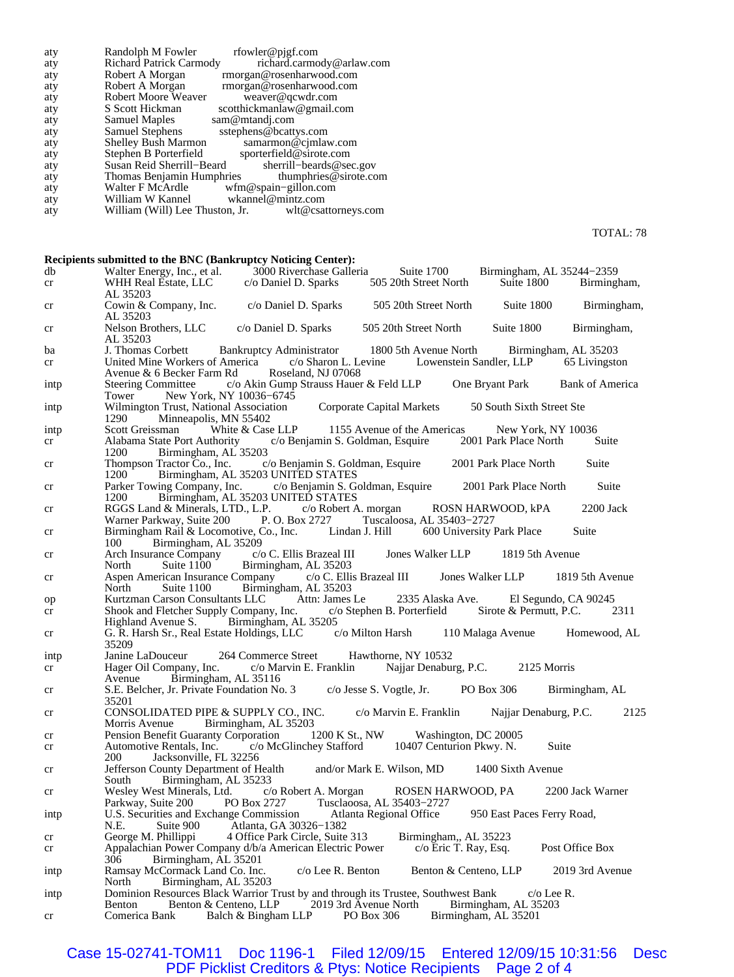| aty               | Randolph M Fowler<br>rfowler@pjgf.com                                                                                                                     |
|-------------------|-----------------------------------------------------------------------------------------------------------------------------------------------------------|
| aty               | <b>Richard Patrick Carmody</b><br>richard.carmody@arlaw.com                                                                                               |
|                   |                                                                                                                                                           |
| aty               | Robert A Morgan<br>rmorgan@rosenharwood.com                                                                                                               |
| aty               | rmorgan@rosenharwood.com<br>Robert A Morgan                                                                                                               |
| aty               | Robert Moore Weaver<br>weaver@qcwdr.com                                                                                                                   |
| aty               | S Scott Hickman<br>scotthickmanlaw@gmail.com                                                                                                              |
|                   |                                                                                                                                                           |
| aty               | <b>Samuel Maples</b><br>sam@mtandj.com                                                                                                                    |
| aty               | sstephens@bcattys.com<br>Samuel Stephens                                                                                                                  |
| aty               | <b>Shelley Bush Marmon</b><br>samarmon@cjmlaw.com                                                                                                         |
| aty               | sporterfield@sirote.com<br>Stephen B Porterfield                                                                                                          |
|                   | Susan Reid Sherrill–Beard                                                                                                                                 |
| aty               | sherrill-beards@sec.gov                                                                                                                                   |
| aty               | Thomas Benjamin Humphries thumphries@sirote.com                                                                                                           |
| aty               | wfm@spain-gillon.com<br>Walter F McArdle                                                                                                                  |
| aty               | William W Kannel<br>wkannel@mintz.com                                                                                                                     |
|                   | wlt@csattorneys.com                                                                                                                                       |
| aty               | William (Will) Lee Thuston, Jr.                                                                                                                           |
|                   | TOTAL: 78                                                                                                                                                 |
|                   | <b>Recipients submitted to the BNC (Bankruptcy Noticing Center):</b>                                                                                      |
| db                | Walter Energy, Inc., et al. 3000 Riverchase Galleria<br>Suite 1700<br>Birmingham, AL 35244-2359                                                           |
| cr                | 505 20th Street North<br>WHH Real Estate, LLC<br>c/o Daniel D. Sparks<br>Suite 1800<br>Birmingham,                                                        |
|                   |                                                                                                                                                           |
| cr                | AL 35203<br>Suite 1800<br>Cowin & Company, Inc.<br>c/o Daniel D. Sparks<br>505 20th Street North<br>Birmingham,                                           |
|                   | AL 35203<br>505 20th Street North<br>Nelson Brothers, LLC<br>c/o Daniel D. Sparks<br>Suite 1800<br>Birmingham,                                            |
| cr                | AL 35203                                                                                                                                                  |
| ba                | J. Thomas Corbett<br>Bankruptcy Administrator<br>1800 5th Avenue North<br>Birmingham, AL 35203                                                            |
| cr                | c/o Sharon L. Levine Lowenstein Sandler, LLP<br>United Mine Workers of America<br>65 Livingston                                                           |
| ıntp              | Roseland, NJ 07068<br>Avenue & 6 Becker Farm Rd<br>Steering Committee c/o Akin Gump Strauss Hauer & Feld LLP<br>One Bryant Park<br><b>Bank of America</b> |
|                   | New York, NY 10036-6745<br>Tower<br>Wilmington Trust, National Association<br>50 South Sixth Street Ste<br>Corporate Capital Markets                      |
| ıntp              | 1290<br>Minneapolis, MN 55402                                                                                                                             |
| ıntp              | White & Case LLP<br>New York, NY 10036<br>Scott Greissman<br>1155 Avenue of the Americas                                                                  |
|                   | 2001 Park Place North<br>Suite                                                                                                                            |
| cr                | c/o Benjamin S. Goldman, Esquire<br>Alabama State Port Authority                                                                                          |
|                   | 1200<br>Birmingham, AL 35203                                                                                                                              |
| cr                | c/o Benjamin S. Goldman, Esquire<br>2001 Park Place North<br>Suite<br>Thompson Tractor Co., Inc.                                                          |
|                   | Birmingham, AL 35203 UNITED STATES<br>1200                                                                                                                |
| cr                | Parker Towing Company, Inc. c/o Benjamin S. Goldman, Esquire<br>2001 Park Place North<br>Suite<br>Birmingham, AL 35203 UNITED STATES<br>1200              |
|                   |                                                                                                                                                           |
| cr                | RGGS Land & Minerals, LTD., L.P.<br>$2200$ Jack<br>c/o Robert A. morgan<br>ROSN HARWOOD, kPA                                                              |
|                   | Warner Parkway, Suite 200 P.O. Box 2727<br>Tuscaloosa, AL 35403-2727                                                                                      |
| cr                | Birmingham Rail & Locomotive, Co., Inc. Lindan J. Hill<br>600 University Park Place<br>Suite                                                              |
|                   | 100<br>Birmingham, AL 35209                                                                                                                               |
|                   |                                                                                                                                                           |
| cr                | Arch Insurance Company<br>Jones Walker LLP<br>1819 5th Avenue<br>c/o C. Ellis Brazeal III                                                                 |
|                   | North<br>Suite $1100$<br>Birmingham, AL 35203                                                                                                             |
| cr                | Aspen American Insurance Company<br>c/o C. Ellis Brazeal III Jones Walker LLP 1819 5th Avenue                                                             |
|                   | Birmingham, AL 35203<br>North<br>Suite 1100                                                                                                               |
|                   |                                                                                                                                                           |
| op                | 2335 Alaska Ave. El Segundo, CA 90245<br>Kurtzman Carson Consultants LLC Attn: James Le                                                                   |
| cr                | 2311<br>c/o Stephen B. Porterfield<br>Sirote & Permutt, P.C.<br>Shook and Fletcher Supply Company, Inc.                                                   |
|                   | Birmingham, AL 35205<br>Highland Avenue S.                                                                                                                |
|                   | c/o Milton Harsh<br>G. R. Harsh Sr., Real Estate Holdings, LLC<br>110 Malaga Avenue<br>Homewood, AL                                                       |
| cr                |                                                                                                                                                           |
|                   | 35209                                                                                                                                                     |
| 1 <sub>n</sub> tp | 264 Commerce Street<br>Hawthorne, NY 10532<br>Janine LaDouceur                                                                                            |
| cr                | Najjar Denaburg, P.C.<br>Hager Oil Company, Inc.<br>c/o Marvin E. Franklin<br>2125 Morris                                                                 |
|                   | Birmingham, AL 35116<br>Avenue                                                                                                                            |
|                   |                                                                                                                                                           |
| cr                | S.E. Belcher, Jr. Private Foundation No. 3<br>c/o Jesse S. Vogtle, Jr.<br>PO Box 306<br>Birmingham, AL                                                    |
|                   | 35201                                                                                                                                                     |
| cr                | CONSOLIDATED PIPE & SUPPLY CO., INC.<br>Najjar Denaburg, P.C.<br>2125<br>c/o Marvin E. Franklin                                                           |
|                   | Morris Avenue<br>Birmingham, AL 35203                                                                                                                     |
|                   |                                                                                                                                                           |
| cr                | Pension Benefit Guaranty Corporation<br>1200 K St., NW Washington, DC 20005                                                                               |
| cr                | c/o McGlinchey Stafford<br>10407 Centurion Pkwy. N.<br>Suite<br>Automotive Rentals, Inc.                                                                  |
|                   | <b>200</b><br>Jacksonville, FL 32256                                                                                                                      |
|                   | Jefferson County Department of Health<br>and/or Mark E. Wilson, MD<br>1400 Sixth Avenue                                                                   |
| cr                |                                                                                                                                                           |
|                   | South<br>Birmingham, AL 35233                                                                                                                             |
| cr                | Wesley West Minerals, Ltd.<br>c/o Robert A. Morgan<br>ROSEN HARWOOD, PA<br>2200 Jack Warner                                                               |
|                   | Tusclaoosa, AL 35403-2727<br>PO Box 2727<br>Parkway, Suite 200                                                                                            |
|                   | U.S. Securities and Exchange Commission<br>Atlanta Regional Office<br>950 East Paces Ferry Road,                                                          |
| intp              |                                                                                                                                                           |
|                   | N.E.<br>Atlanta, GA 30326-1382<br>Suite 900                                                                                                               |
| cr                | George M. Phillippi 4 Office Park Circle, Suite 313<br>Birmingham,, AL 35223                                                                              |
| cr                | Appalachian Power Company d/b/a American Electric Power<br>Post Office Box<br>c/o Eric T. Ray, Esq.                                                       |
|                   | 306                                                                                                                                                       |
|                   | Birmingham, AL 35201                                                                                                                                      |
| ıntp              | $c$ /o Lee R. Benton<br>2019 3rd Avenue<br>Ramsay McCormack Land Co. Inc.<br>Benton & Centeno, LLP                                                        |
|                   | North<br>Birmingham, AL 35203                                                                                                                             |
| intp              | Dominion Resources Black Warrior Trust by and through its Trustee, Southwest Bank<br>$c/\sigma$ Lee R.                                                    |
|                   | 2019 3rd Avenue North<br>Birmingham, AL 35203<br>Benton                                                                                                   |
|                   | Benton & Centeno, LLP                                                                                                                                     |
| cr                | Balch & Bingham LLP<br>Comerica Bank<br>PO Box 306<br>Birmingham, AL 35201                                                                                |

Case 15-02741-TOM11 Doc 1196-1 Filed 12/09/15 Entered 12/09/15 10:31:56 Desc PDF Picklist Creditors & Ptys: Notice Recipients Page 2 of 4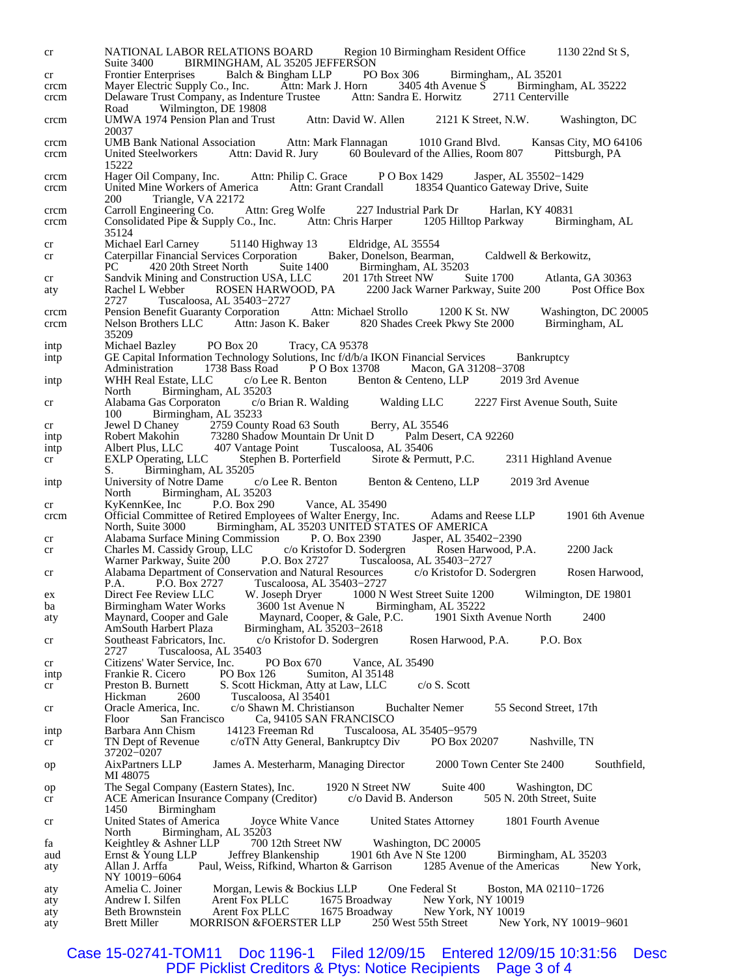cr NATIONAL LABOR RELATIONS BOARD Region 10 Birmingham Resident Office 1130 22nd St S, Suite 3400 BIRMINGHAM, AL 35205 JEFFERSON<br>Frontier Enterprises Balch & Bingham LLP PO Box 306 cr Frontier Enterprises Balch & Bingham LLP PO Box 306 Birmingham,, AL 35201 crcm Mayer Electric Supply Co., Inc. Attn: Mark J. Horn 3405 4th Avenue S Birmingham crcm Mayer Electric Supply Co., Inc. Attn: Mark J. Horn 3405 4th Avenue S Birmingham, AL 35222<br>crcm Delaware Trust Company, as Indenture Trustee Attn: Sandra E. Horwitz 2711 Centerville crcm Delaware Trust Company, as Indenture Trustee Attn: Sandra E. Horwitz Road Wilmington, DE 19808 crcm UMWA 1974 Pension Plan and Trust Attn: David W. Allen 2121 K Street, N.W. Washington, DC 20037 crcm UMB Bank National Association Attn: Mark Flannagan 1010 Grand Blvd. Kansas City, MO 64106 crcm United Steelworkers Attn: David R. Jury 60 Boulevard of the Allies, Room 807 15222 crcm Hager Oil Company, Inc. Attn: Philip C. Grace P O Box 1429 Jasper, AL 35502–1429 crcm United Mine Workers of America Attn: Grant Crandall 18354 Quantico Gateway Drive, Suite crcm United Mine Workers of America Attn: Grant Crandall 18354 Quantico Gateway Drive, Suite 200 Triangle, VA 22172<br>Carroll Engineering Co. Attn: Greg Wolfe crcm Carroll Engineering Co. Attn: Greg Wolfe 227 Industrial Park Dr Harlan, KY 40831<br>crcm Consolidated Pipe & Supply Co., Inc. Attn: Chris Harper 1205 Hilltop Parkway Birmingham, AL crcm Consolidated Pipe & Supply Co., Inc. 35124<br>Michael Earl Carney cr Michael Earl Carney 51140 Highway 13 Eldridge, AL 35554 cr Caterpillar Financial Services Corporation Baker, Donelson, Bearman, Caldwell & Berkowitz,<br>PC 420 20th Street North Suite 1400 Birmingham, AL 35203 PC 420 20th Street North Suite 1400 Birmingham, AL 35203<br>Sandvik Mining and Construction USA, LLC 201 17th Street NW S cr Sandvik Mining and Construction USA, LLC 201 17th Street NW Suite 1700 Atlanta, GA 30363<br>aty Rachel L Webber ROSEN HARWOOD, PA 2200 Jack Warner Parkway, Suite 200 Post Office Box aty Rachel L Webber ROSEN HARWOOD, PA 2200 Jack Warner Parkway, Suite 200 2727 Tuscaloosa, AL 35403−2727 crcm Pension Benefit Guaranty Corporation Attn: Michael Strollo 1200 K St. NW Washington, DC 20005<br>crcm Nelson Brothers LLC Attn: Jason K. Baker 820 Shades Creek Pkwy Ste 2000 Birmingham, AL crcm Nelson Brothers LLC Attn: Jason K. Baker 820 Shades Creek Pkwy Ste 2000 35209 intp Michael Bazley PO Box 20 Tracy, CA 95378 intp GE Capital Information Technology Solutions, Inc f/d/b/a IKON Financial Services Bankruptcy<br>Administration 1738 Bass Road P O Box 13708 Macon, GA 31208-3708 Administration 1738 Bass Road P O Box 13708 Macon, GA 31208–3708 WHH Real Estate, LLC c/o Lee R. Benton Benton & Centeno, LLP 2019 3rd Avenue intp WHH Real Estate, LLC c/o Lee R. Benton Benton & Centeno, LLP North Birmingham, AL 35203 cr Alabama Gas Corporaton c/o Brian R. Walding Walding LLC 2227 First Avenue South, Suite 100 Birmingham, AL 35233<br>Jewel D Chaney 2759 Count cr Jewel D Chaney 2759 County Road 63 South Berry, AL 35546<br>intp Robert Makohin 73280 Shadow Mountain Dr Unit D Palm Des intp Robert Makohin 73280 Shadow Mountain Dr Unit D Palm Desert, CA 92260<br>intp Albert Plus, LLC 407 Vantage Point Tuscaloosa, AL 35406 Albert Plus, LLC 407 Vantage Point Tuscaloosa, AL 35406<br>EXLP Operating, LLC Stephen B. Porterfield Sirote & Permutt, P.C. cr EXLP Operating, LLC Stephen B. Porterfield Sirote & Permutt, P.C. 2311 Highland Avenue S. Birmingham, AL 35205<br>University of Notre Dame c/o Lee R. Benton intp University of Notre Dame c/o Lee R. Benton Benton & Centeno, LLP 2019 3rd Avenue North Birmingham, AL 35203<br>KyKennKee, Inc P.O. Box 290 cr KyKennKee, Inc P.O. Box 290 Vance, AL 35490 crcm Official Committee of Retired Employees of Walter Energy, Inc. Adams and Reese LLP 1901 6th Avenue Birmingham, AL 35203 UNITED STATES OF AMERICA<br>g Commission P. O. Box 2390 Jasper, AL 35402-2390 cr Alabama Surface Mining Commission P. O. Box 2390 Jasper, AL 35402–2390<br>cr Charles M. Cassidy Group, LLC c/o Kristofor D. Sodergren Rosen Harwood, P.A. cr Charles M. Cassidy Group, LLC c/o Kristofor D. Sodergren Rosen Harwood, P.A. 2200 Jack<br>Warner Parkway, Suite 200 P.O. Box 2727 Tuscaloosa, AL 35403-2727 Tuscaloosa, AL 35403-2727 cr Alabama Department of Conservation and Natural Resources c/o Kristofor D. Sodergren Rosen Harwood,<br>P.A. P.O. Box 2727 Tuscaloosa, AL 35403-2727 P.A. P.O. Box 2727 Tuscaloosa, AL 35403–2727<br>Direct Fee Review LLC W. Joseph Dryer 1000 N ex Direct Fee Review LLC W. Joseph Dryer 1000 N West Street Suite 1200 Wilmington, DE 19801 ba Birmingham Water Works 3600 1st Avenue N Birmingham, AL 35222 ba Birmingham Water Works aty Maynard, Cooper and Gale Maynard, Cooper, & Gale, P.C. 1901 Sixth Avenue North 2400<br>AmSouth Harbert Plaza Birmingham, AL 35203–2618 Birmingham, AL 35203-2618 cr Southeast Fabricators, Inc. c/o Kristofor D. Sodergren Rosen Harwood, P.A. P.O. Box Tuscaloosa, AL 35403 cr Citizens' Water Service, Inc. PO Box 670 Vance, AL 35490<br>intp Frankie R. Cicero PO Box 126 Sumiton, Al 35148 intp Frankie R. Cicero PO Box 126 Sumiton, Al 35148 cr Preston B. Burnett S. Scott Hickman, Atty at Law, LLC c/o S. Scott<br>Hickman 2600 Tuscaloosa, Al 35401 Tuscaloosa, Al 35401 cr Oracle America, Inc. c/o Shawn M. Christianson Buchalter Nemer 55 Second Street, 17th Floor San Francisco Ca, 94105 SAN FRANCISCO intp Barbara Ann Chism 14123 Freeman Rd Tuscaloosa, AL 35405−9579 cr TN Dept of Revenue c/oTN Atty General, Bankruptcy Div PO Box 20207 Nashville, TN 37202−0207 op AixPartners LLP James A. Mesterharm, Managing Director 2000 Town Center Ste 2400 Southfield, MI 48075 op The Segal Company (Eastern States), Inc. 1920 N Street NW Suite 400 Washington, DC<br>cr ACE American Insurance Company (Creditor) c/o David B. Anderson 505 N. 20th Street, Suite cr ACE American Insurance Company (Creditor) c/o David B. Anderson 1450 Birmingham cr United States of America Joyce White Vance United States Attorney 1801 Fourth Avenue North Birmingham, AL 35203<br>Keightley & Ashner LLP 700 12th Street NW fa Keightley & Ashner LLP 700 12th Street NW Washington, DC 20005 Ernst & Young LLP Jeffrey Blankenship 1901 6th Ave N Ste 1200 Birmingham, AL 35203<br>Allan J. Arffa Paul, Weiss, Rifkind, Wharton & Garrison 1285 Avenue of the Americas New York, aty Allan J. Arffa Paul, Weiss, Rifkind, Wharton & Garrison NY 10019-6064<br>Amelia C. Joiner aty Amelia C. Joiner Morgan, Lewis & Bockius LLP One Federal St Boston, MA 02110−1726<br>aty Andrew I. Silfen Arent Fox PLLC 1675 Broadway New York, NY 10019 aty Andrew I. Silfen Arent Fox PLLC 1675 Broadway New York, NY 10019<br>aty Beth Brownstein Arent Fox PLLC 1675 Broadway New York, NY 10019 aty Beth Brownstein Arent Fox PLLC 1675 Broadway New York, NY 10019<br>aty Brett Miller MORRISON & FOERSTER LLP 250 West 55th Street New York aty Brett Miller MORRISON &FOERSTER LLP 250 West 55th Street New York, NY 10019−9601

Case 15-02741-TOM11 Doc 1196-1 Filed 12/09/15 Entered 12/09/15 10:31:56 Desc<br>PDF Picklist Creditors & Ptys: Notice Recipients Page 3 of 4 PDF Picklist Creditors & Ptys: Notice Recipients